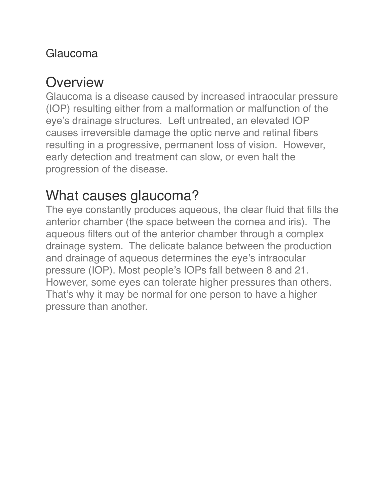### Glaucoma

### **Overview**

Glaucoma is a disease caused by increased intraocular pressure (IOP) resulting either from a malformation or malfunction of the eye's drainage structures. Left untreated, an elevated IOP causes irreversible damage the optic nerve and retinal fibers resulting in a progressive, permanent loss of vision. However, early detection and treatment can slow, or even halt the progression of the disease.

## What causes glaucoma?

The eye constantly produces aqueous, the clear fluid that fills the anterior chamber (the space between the cornea and iris). The aqueous filters out of the anterior chamber through a complex drainage system. The delicate balance between the production and drainage of aqueous determines the eye's intraocular pressure (IOP). Most people's IOPs fall between 8 and 21. However, some eyes can tolerate higher pressures than others. That's why it may be normal for one person to have a higher pressure than another.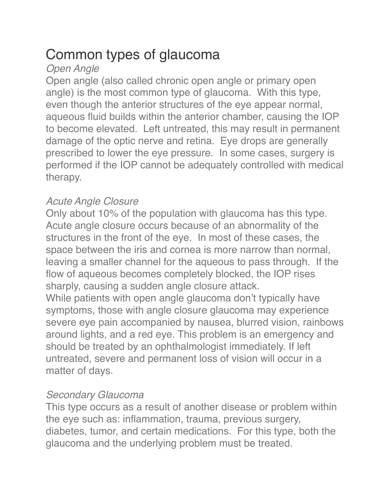## Common types of glaucoma

#### *Open Angle*

Open angle (also called chronic open angle or primary open angle) is the most common type of glaucoma. With this type, even though the anterior structures of the eye appear normal, aqueous fluid builds within the anterior chamber, causing the IOP to become elevated. Left untreated, this may result in permanent damage of the optic nerve and retina. Eye drops are generally prescribed to lower the eye pressure. In some cases, surgery is performed if the IOP cannot be adequately controlled with medical therapy.

#### *Acute Angle Closure*

Only about 10% of the population with glaucoma has this type. Acute angle closure occurs because of an abnormality of the structures in the front of the eye. In most of these cases, the space between the iris and cornea is more narrow than normal, leaving a smaller channel for the aqueous to pass through. If the flow of aqueous becomes completely blocked, the IOP rises sharply, causing a sudden angle closure attack.

While patients with open angle glaucoma don't typically have symptoms, those with angle closure glaucoma may experience severe eye pain accompanied by nausea, blurred vision, rainbows around lights, and a red eye. This problem is an emergency and should be treated by an ophthalmologist immediately. If left untreated, severe and permanent loss of vision will occur in a matter of days.

#### *Secondary Glaucoma*

This type occurs as a result of another disease or problem within the eye such as: inflammation, trauma, previous surgery, diabetes, tumor, and certain medications. For this type, both the glaucoma and the underlying problem must be treated.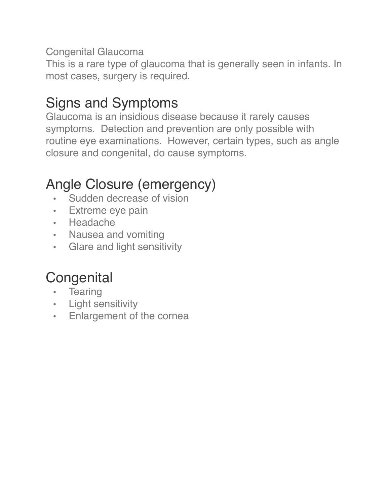#### Congenital Glaucoma

This is a rare type of glaucoma that is generally seen in infants. In most cases, surgery is required.

## Signs and Symptoms

Glaucoma is an insidious disease because it rarely causes symptoms. Detection and prevention are only possible with routine eye examinations. However, certain types, such as angle closure and congenital, do cause symptoms.

## Angle Closure (emergency)

- Sudden decrease of vision
- Extreme eye pain
- Headache
- Nausea and vomiting
- Glare and light sensitivity

# **Congenital**

- Tearing
- Light sensitivity
- Enlargement of the cornea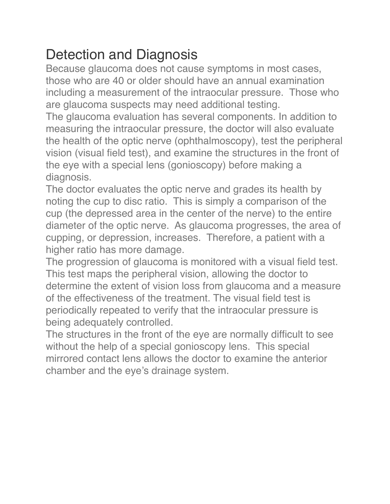## Detection and Diagnosis

Because glaucoma does not cause symptoms in most cases, those who are 40 or older should have an annual examination including a measurement of the intraocular pressure. Those who are glaucoma suspects may need additional testing.

The glaucoma evaluation has several components. In addition to measuring the intraocular pressure, the doctor will also evaluate the health of the optic nerve (ophthalmoscopy), test the peripheral vision (visual field test), and examine the structures in the front of the eye with a special lens (gonioscopy) before making a diagnosis.

The doctor evaluates the optic nerve and grades its health by noting the cup to disc ratio. This is simply a comparison of the cup (the depressed area in the center of the nerve) to the entire diameter of the optic nerve. As glaucoma progresses, the area of cupping, or depression, increases. Therefore, a patient with a higher ratio has more damage.

The progression of glaucoma is monitored with a visual field test. This test maps the peripheral vision, allowing the doctor to determine the extent of vision loss from glaucoma and a measure of the effectiveness of the treatment. The visual field test is periodically repeated to verify that the intraocular pressure is being adequately controlled.

The structures in the front of the eye are normally difficult to see without the help of a special gonioscopy lens. This special mirrored contact lens allows the doctor to examine the anterior chamber and the eye's drainage system.